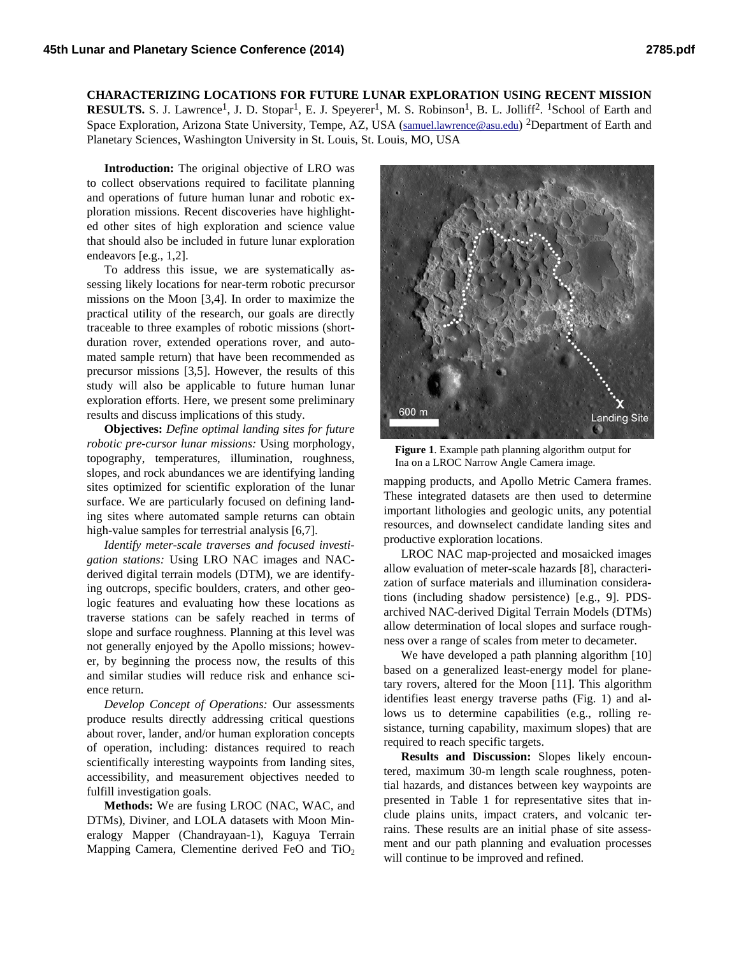## **CHARACTERIZING LOCATIONS FOR FUTURE LUNAR EXPLORATION USING RECENT MISSION RESULTS.** S. J. Lawrence<sup>1</sup>, J. D. Stopar<sup>1</sup>, E. J. Speyerer<sup>1</sup>, M. S. Robinson<sup>1</sup>, B. L. Jolliff<sup>2</sup>. <sup>1</sup>School of Earth and Space Exploration, Arizona State University, Tempe, AZ, USA (samuel.lawrence@asu.edu) <sup>2</sup>Department of Earth and Planetary Sciences, Washington University in St. Louis, St. Louis, MO, USA

**Introduction:** The original objective of LRO was to collect observations required to facilitate planning and operations of future human lunar and robotic exploration missions. Recent discoveries have highlighted other sites of high exploration and science value that should also be included in future lunar exploration endeavors [e.g., 1,2].

To address this issue, we are systematically assessing likely locations for near-term robotic precursor missions on the Moon [3,4]. In order to maximize the practical utility of the research, our goals are directly traceable to three examples of robotic missions (shortduration rover, extended operations rover, and automated sample return) that have been recommended as precursor missions [3,5]. However, the results of this study will also be applicable to future human lunar exploration efforts. Here, we present some preliminary results and discuss implications of this study.

**Objectives:** *Define optimal landing sites for future robotic pre-cursor lunar missions:* Using morphology, topography, temperatures, illumination, roughness, slopes, and rock abundances we are identifying landing sites optimized for scientific exploration of the lunar surface. We are particularly focused on defining landing sites where automated sample returns can obtain high-value samples for terrestrial analysis [6,7].

*Identify meter-scale traverses and focused investigation stations:* Using LRO NAC images and NACderived digital terrain models (DTM), we are identifying outcrops, specific boulders, craters, and other geologic features and evaluating how these locations as traverse stations can be safely reached in terms of slope and surface roughness. Planning at this level was not generally enjoyed by the Apollo missions; however, by beginning the process now, the results of this and similar studies will reduce risk and enhance science return.

*Develop Concept of Operations:* Our assessments produce results directly addressing critical questions about rover, lander, and/or human exploration concepts of operation, including: distances required to reach scientifically interesting waypoints from landing sites, accessibility, and measurement objectives needed to fulfill investigation goals.

**Methods:** We are fusing LROC (NAC, WAC, and DTMs), Diviner, and LOLA datasets with Moon Mineralogy Mapper (Chandrayaan-1), Kaguya Terrain Mapping Camera, Clementine derived FeO and TiO<sub>2</sub>



**Figure 1**. Example path planning algorithm output for Ina on a LROC Narrow Angle Camera image.

mapping products, and Apollo Metric Camera frames. These integrated datasets are then used to determine important lithologies and geologic units, any potential resources, and downselect candidate landing sites and productive exploration locations.

LROC NAC map-projected and mosaicked images allow evaluation of meter-scale hazards [8], characterization of surface materials and illumination considerations (including shadow persistence) [e.g., 9]. PDSarchived NAC-derived Digital Terrain Models (DTMs) allow determination of local slopes and surface roughness over a range of scales from meter to decameter.

We have developed a path planning algorithm [10] based on a generalized least-energy model for planetary rovers, altered for the Moon [11]. This algorithm identifies least energy traverse paths (Fig. 1) and allows us to determine capabilities (e.g., rolling resistance, turning capability, maximum slopes) that are required to reach specific targets.

**Results and Discussion:** Slopes likely encountered, maximum 30-m length scale roughness, potential hazards, and distances between key waypoints are presented in Table 1 for representative sites that include plains units, impact craters, and volcanic terrains. These results are an initial phase of site assessment and our path planning and evaluation processes will continue to be improved and refined.